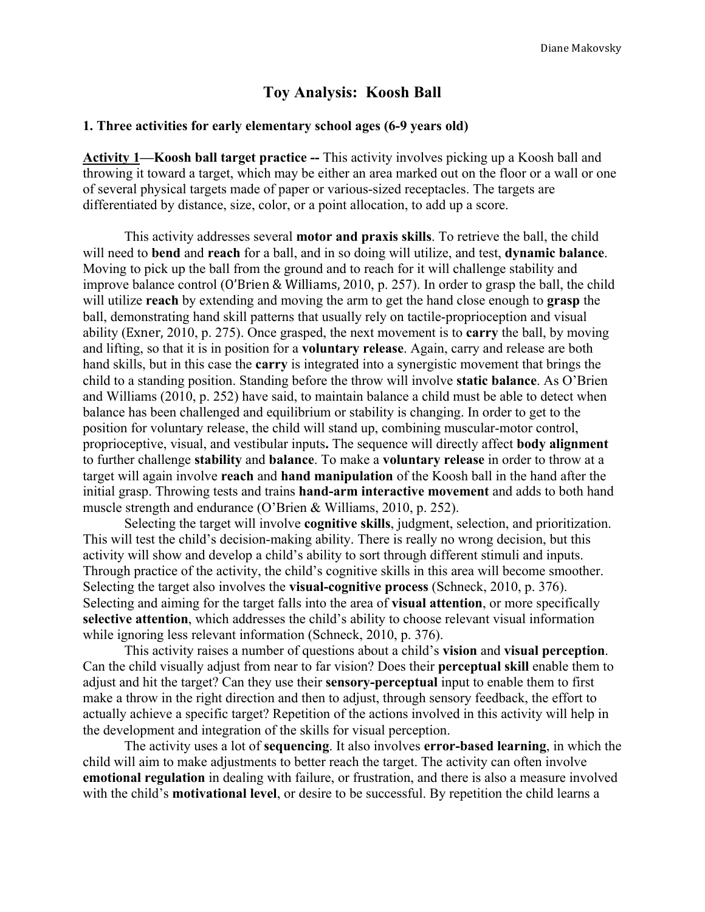## **Toy Analysis: Koosh Ball**

## **1. Three activities for early elementary school ages (6-9 years old)**

**Activity 1—Koosh ball target practice --** This activity involves picking up a Koosh ball and throwing it toward a target, which may be either an area marked out on the floor or a wall or one of several physical targets made of paper or various-sized receptacles. The targets are differentiated by distance, size, color, or a point allocation, to add up a score.

This activity addresses several **motor and praxis skills**. To retrieve the ball, the child will need to **bend** and **reach** for a ball, and in so doing will utilize, and test, **dynamic balance**. Moving to pick up the ball from the ground and to reach for it will challenge stability and improve balance control (O'Brien & Williams, 2010, p. 257). In order to grasp the ball, the child will utilize **reach** by extending and moving the arm to get the hand close enough to **grasp** the ball, demonstrating hand skill patterns that usually rely on tactile-proprioception and visual ability (Exner, 2010, p. 275). Once grasped, the next movement is to **carry** the ball, by moving and lifting, so that it is in position for a **voluntary release**. Again, carry and release are both hand skills, but in this case the **carry** is integrated into a synergistic movement that brings the child to a standing position. Standing before the throw will involve **static balance**. As O'Brien and Williams (2010, p. 252) have said, to maintain balance a child must be able to detect when balance has been challenged and equilibrium or stability is changing. In order to get to the position for voluntary release, the child will stand up, combining muscular-motor control, proprioceptive, visual, and vestibular inputs**.** The sequence will directly affect **body alignment** to further challenge **stability** and **balance**. To make a **voluntary release** in order to throw at a target will again involve **reach** and **hand manipulation** of the Koosh ball in the hand after the initial grasp. Throwing tests and trains **hand-arm interactive movement** and adds to both hand muscle strength and endurance (O'Brien & Williams, 2010, p. 252).

Selecting the target will involve **cognitive skills**, judgment, selection, and prioritization. This will test the child's decision-making ability. There is really no wrong decision, but this activity will show and develop a child's ability to sort through different stimuli and inputs. Through practice of the activity, the child's cognitive skills in this area will become smoother. Selecting the target also involves the **visual-cognitive process** (Schneck, 2010, p. 376). Selecting and aiming for the target falls into the area of **visual attention**, or more specifically **selective attention**, which addresses the child's ability to choose relevant visual information while ignoring less relevant information (Schneck, 2010, p. 376).

This activity raises a number of questions about a child's **vision** and **visual perception**. Can the child visually adjust from near to far vision? Does their **perceptual skill** enable them to adjust and hit the target? Can they use their **sensory-perceptual** input to enable them to first make a throw in the right direction and then to adjust, through sensory feedback, the effort to actually achieve a specific target? Repetition of the actions involved in this activity will help in the development and integration of the skills for visual perception.

The activity uses a lot of **sequencing**. It also involves **error-based learning**, in which the child will aim to make adjustments to better reach the target. The activity can often involve **emotional regulation** in dealing with failure, or frustration, and there is also a measure involved with the child's **motivational level**, or desire to be successful. By repetition the child learns a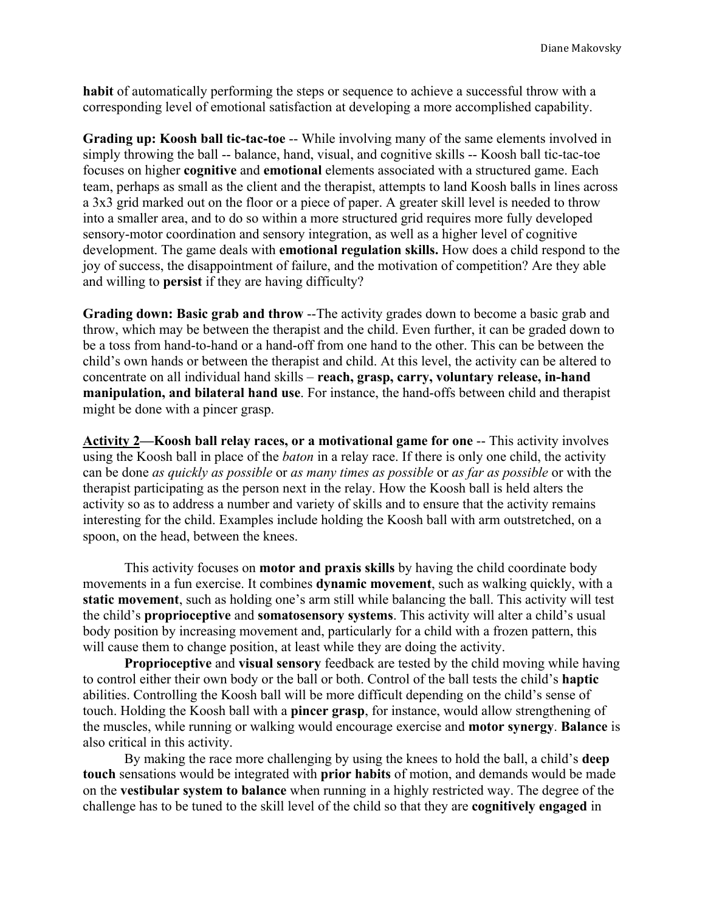**habit** of automatically performing the steps or sequence to achieve a successful throw with a corresponding level of emotional satisfaction at developing a more accomplished capability.

**Grading up: Koosh ball tic-tac-toe** -- While involving many of the same elements involved in simply throwing the ball -- balance, hand, visual, and cognitive skills -- Koosh ball tic-tac-toe focuses on higher **cognitive** and **emotional** elements associated with a structured game. Each team, perhaps as small as the client and the therapist, attempts to land Koosh balls in lines across a 3x3 grid marked out on the floor or a piece of paper. A greater skill level is needed to throw into a smaller area, and to do so within a more structured grid requires more fully developed sensory-motor coordination and sensory integration, as well as a higher level of cognitive development. The game deals with **emotional regulation skills.** How does a child respond to the joy of success, the disappointment of failure, and the motivation of competition? Are they able and willing to **persist** if they are having difficulty?

**Grading down: Basic grab and throw** --The activity grades down to become a basic grab and throw, which may be between the therapist and the child. Even further, it can be graded down to be a toss from hand-to-hand or a hand-off from one hand to the other. This can be between the child's own hands or between the therapist and child. At this level, the activity can be altered to concentrate on all individual hand skills – **reach, grasp, carry, voluntary release, in-hand manipulation, and bilateral hand use**. For instance, the hand-offs between child and therapist might be done with a pincer grasp.

**Activity 2—Koosh ball relay races, or a motivational game for one** -- This activity involves using the Koosh ball in place of the *baton* in a relay race. If there is only one child, the activity can be done *as quickly as possible* or *as many times as possible* or *as far as possible* or with the therapist participating as the person next in the relay. How the Koosh ball is held alters the activity so as to address a number and variety of skills and to ensure that the activity remains interesting for the child. Examples include holding the Koosh ball with arm outstretched, on a spoon, on the head, between the knees.

This activity focuses on **motor and praxis skills** by having the child coordinate body movements in a fun exercise. It combines **dynamic movement**, such as walking quickly, with a **static movement**, such as holding one's arm still while balancing the ball. This activity will test the child's **proprioceptive** and **somatosensory systems**. This activity will alter a child's usual body position by increasing movement and, particularly for a child with a frozen pattern, this will cause them to change position, at least while they are doing the activity.

**Proprioceptive** and **visual sensory** feedback are tested by the child moving while having to control either their own body or the ball or both. Control of the ball tests the child's **haptic**  abilities. Controlling the Koosh ball will be more difficult depending on the child's sense of touch. Holding the Koosh ball with a **pincer grasp**, for instance, would allow strengthening of the muscles, while running or walking would encourage exercise and **motor synergy**. **Balance** is also critical in this activity.

By making the race more challenging by using the knees to hold the ball, a child's **deep touch** sensations would be integrated with **prior habits** of motion, and demands would be made on the **vestibular system to balance** when running in a highly restricted way. The degree of the challenge has to be tuned to the skill level of the child so that they are **cognitively engaged** in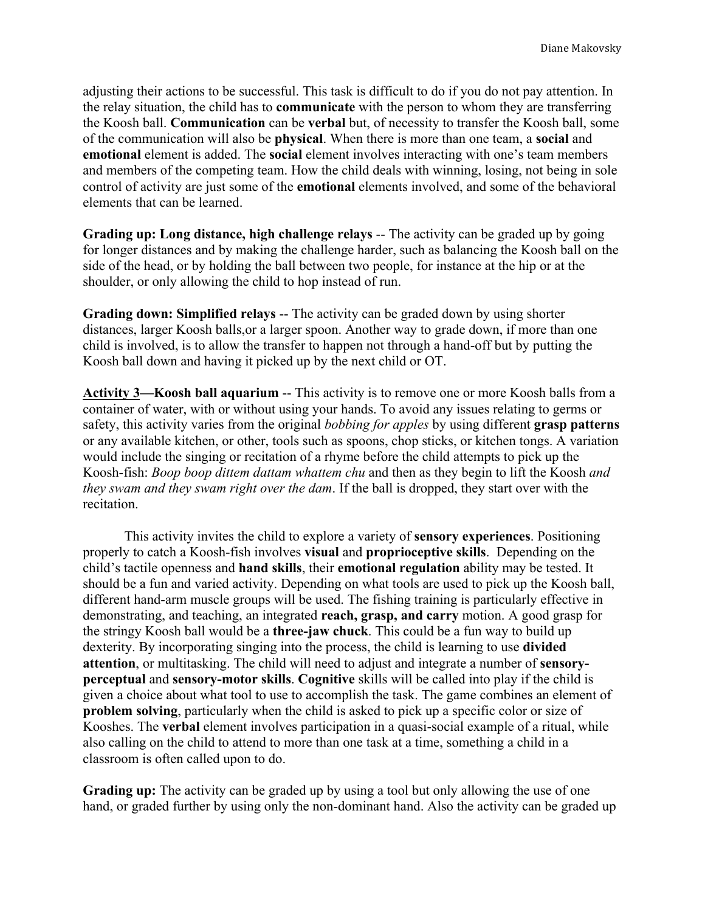adjusting their actions to be successful. This task is difficult to do if you do not pay attention. In the relay situation, the child has to **communicate** with the person to whom they are transferring the Koosh ball. **Communication** can be **verbal** but, of necessity to transfer the Koosh ball, some of the communication will also be **physical**. When there is more than one team, a **social** and **emotional** element is added. The **social** element involves interacting with one's team members and members of the competing team. How the child deals with winning, losing, not being in sole control of activity are just some of the **emotional** elements involved, and some of the behavioral elements that can be learned.

**Grading up: Long distance, high challenge relays** -- The activity can be graded up by going for longer distances and by making the challenge harder, such as balancing the Koosh ball on the side of the head, or by holding the ball between two people, for instance at the hip or at the shoulder, or only allowing the child to hop instead of run.

**Grading down: Simplified relays** -- The activity can be graded down by using shorter distances, larger Koosh balls,or a larger spoon. Another way to grade down, if more than one child is involved, is to allow the transfer to happen not through a hand-off but by putting the Koosh ball down and having it picked up by the next child or OT.

**Activity 3—Koosh ball aquarium** -- This activity is to remove one or more Koosh balls from a container of water, with or without using your hands. To avoid any issues relating to germs or safety, this activity varies from the original *bobbing for apples* by using different **grasp patterns** or any available kitchen, or other, tools such as spoons, chop sticks, or kitchen tongs. A variation would include the singing or recitation of a rhyme before the child attempts to pick up the Koosh-fish: *Boop boop dittem dattam whattem chu* and then as they begin to lift the Koosh *and they swam and they swam right over the dam*. If the ball is dropped, they start over with the recitation.

This activity invites the child to explore a variety of **sensory experiences**. Positioning properly to catch a Koosh-fish involves **visual** and **proprioceptive skills**. Depending on the child's tactile openness and **hand skills**, their **emotional regulation** ability may be tested. It should be a fun and varied activity. Depending on what tools are used to pick up the Koosh ball, different hand-arm muscle groups will be used. The fishing training is particularly effective in demonstrating, and teaching, an integrated **reach, grasp, and carry** motion. A good grasp for the stringy Koosh ball would be a **three-jaw chuck**. This could be a fun way to build up dexterity. By incorporating singing into the process, the child is learning to use **divided attention**, or multitasking. The child will need to adjust and integrate a number of **sensoryperceptual** and **sensory-motor skills**. **Cognitive** skills will be called into play if the child is given a choice about what tool to use to accomplish the task. The game combines an element of **problem solving**, particularly when the child is asked to pick up a specific color or size of Kooshes. The **verbal** element involves participation in a quasi-social example of a ritual, while also calling on the child to attend to more than one task at a time, something a child in a classroom is often called upon to do.

**Grading up:** The activity can be graded up by using a tool but only allowing the use of one hand, or graded further by using only the non-dominant hand. Also the activity can be graded up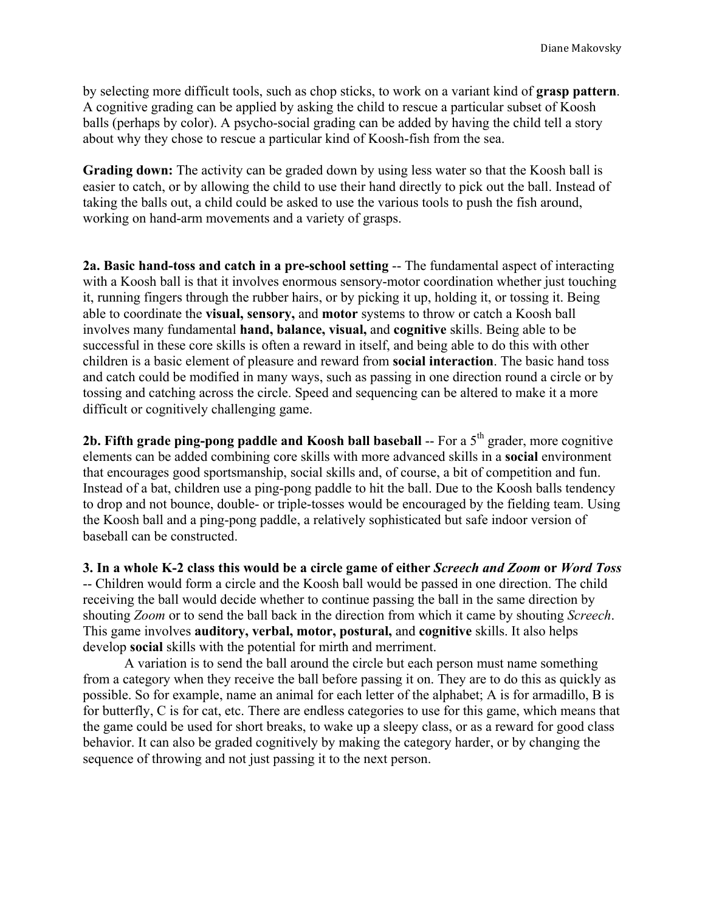by selecting more difficult tools, such as chop sticks, to work on a variant kind of **grasp pattern**. A cognitive grading can be applied by asking the child to rescue a particular subset of Koosh balls (perhaps by color). A psycho-social grading can be added by having the child tell a story about why they chose to rescue a particular kind of Koosh-fish from the sea.

**Grading down:** The activity can be graded down by using less water so that the Koosh ball is easier to catch, or by allowing the child to use their hand directly to pick out the ball. Instead of taking the balls out, a child could be asked to use the various tools to push the fish around, working on hand-arm movements and a variety of grasps.

**2a. Basic hand-toss and catch in a pre-school setting** -- The fundamental aspect of interacting with a Koosh ball is that it involves enormous sensory-motor coordination whether just touching it, running fingers through the rubber hairs, or by picking it up, holding it, or tossing it. Being able to coordinate the **visual, sensory,** and **motor** systems to throw or catch a Koosh ball involves many fundamental **hand, balance, visual,** and **cognitive** skills. Being able to be successful in these core skills is often a reward in itself, and being able to do this with other children is a basic element of pleasure and reward from **social interaction**. The basic hand toss and catch could be modified in many ways, such as passing in one direction round a circle or by tossing and catching across the circle. Speed and sequencing can be altered to make it a more difficult or cognitively challenging game.

**2b. Fifth grade ping-pong paddle and Koosh ball baseball** -- For a 5<sup>th</sup> grader, more cognitive elements can be added combining core skills with more advanced skills in a **social** environment that encourages good sportsmanship, social skills and, of course, a bit of competition and fun. Instead of a bat, children use a ping-pong paddle to hit the ball. Due to the Koosh balls tendency to drop and not bounce, double- or triple-tosses would be encouraged by the fielding team. Using the Koosh ball and a ping-pong paddle, a relatively sophisticated but safe indoor version of baseball can be constructed.

**3. In a whole K-2 class this would be a circle game of either** *Screech and Zoom* **or** *Word Toss* -- Children would form a circle and the Koosh ball would be passed in one direction. The child receiving the ball would decide whether to continue passing the ball in the same direction by shouting *Zoom* or to send the ball back in the direction from which it came by shouting *Screech*. This game involves **auditory, verbal, motor, postural,** and **cognitive** skills. It also helps develop **social** skills with the potential for mirth and merriment.

A variation is to send the ball around the circle but each person must name something from a category when they receive the ball before passing it on. They are to do this as quickly as possible. So for example, name an animal for each letter of the alphabet; A is for armadillo, B is for butterfly, C is for cat, etc. There are endless categories to use for this game, which means that the game could be used for short breaks, to wake up a sleepy class, or as a reward for good class behavior. It can also be graded cognitively by making the category harder, or by changing the sequence of throwing and not just passing it to the next person.